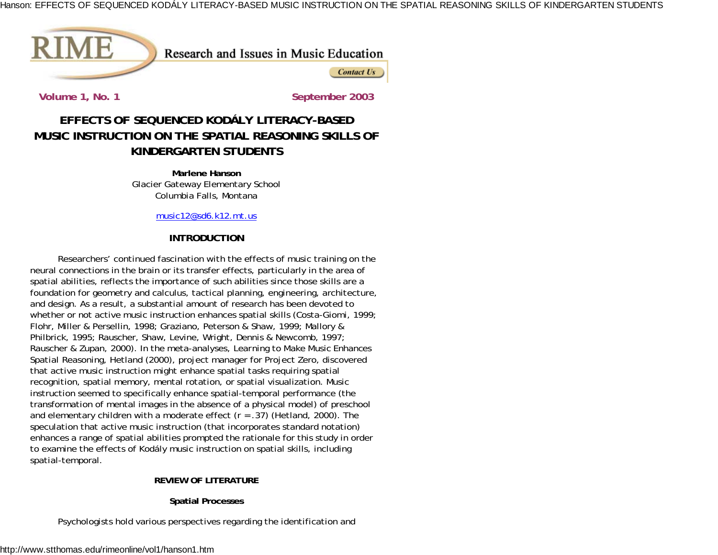

Research and Issues in Music Education

**Contact Us** 

**Volume 1, No. 1 September 2003**

# **EFFECTS OF SEQUENCED KODÁLY LITERACY-BASEDMUSIC INSTRUCTION ON THE SPATIAL REASONING SKILLS OFKINDERGARTEN STUDENTS**

**Marlene Hanson**Glacier Gateway Elementary School Columbia Falls, Montana

music12@sd6.k12.mt.us

## **INTRODUCTION**

Researchers' continued fascination with the effects of music training on the neural connections in the brain or its transfer effects, particularly in the area of spatial abilities, reflects the importance of such abilities since those skills are a foundation for geometry and calculus, tactical planning, engineering, architecture, and design. As a result, a substantial amount of research has been devoted to whether or not active music instruction enhances spatial skills (Costa-Giomi, 1999; Flohr, Miller & Persellin, 1998; Graziano, Peterson & Shaw, 1999; Mallory & Philbrick, 1995; Rauscher, Shaw, Levine, Wright, Dennis & Newcomb, 1997; Rauscher & Zupan, 2000). In the meta-analyses, *Learning to Make Music Enhances Spatial Reasoning,* Hetland (2000), project manager for Project Zero, discovered that active music instruction might enhance spatial tasks requiring spatial recognition, spatial memory, mental rotation, or spatial visualization. Music instruction seemed to specifically enhance spatial-temporal performance (the transformation of mental images in the absence of a physical model) of preschool and elementary children with a moderate effect (*<sup>r</sup>* = .37) (Hetland, 2000). The speculation that active music instruction (that incorporates standard notation) enhances a range of spatial abilities prompted the rationale for this study in order to examine the effects of Kodály music instruction on spatial skills, including spatial-temporal.

### **REVIEW OF LITERATURE**

### **Spatial Processes**

Psychologists hold various perspectives regarding the identification and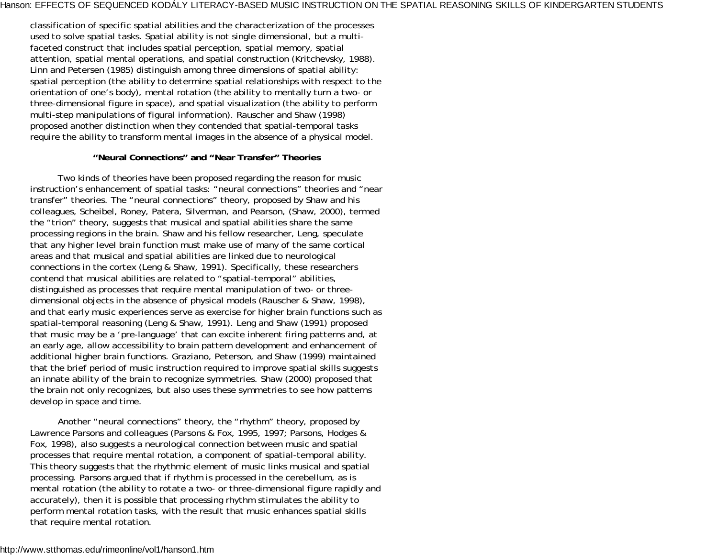classification of specific spatial abilities and the characterization of the processes used to solve spatial tasks. Spatial ability is not single dimensional, but a multifaceted construct that includes spatial perception, spatial memory, spatial attention, spatial mental operations, and spatial construction (Kritchevsky, 1988). Linn and Petersen (1985) distinguish among three dimensions of spatial ability: spatial perception (the ability to determine spatial relationships with respect to the orientation of one's body), mental rotation (the ability to mentally turn a two- or three-dimensional figure in space), and spatial visualization (the ability to perform multi-step manipulations of figural information). Rauscher and Shaw (1998) proposed another distinction when they contended that spatial-temporal tasks require the ability to transform mental images in the absence of a physical model.

#### **"Neural Connections" and "Near Transfer" Theories**

Two kinds of theories have been proposed regarding the reason for music instruction's enhancement of spatial tasks: "neural connections" theories and "near transfer" theories. The "neural connections" theory, proposed by Shaw and his colleagues, Scheibel, Roney, Patera, Silverman, and Pearson, (Shaw, 2000), termed the "trion" theory, suggests that musical and spatial abilities share the same processing regions in the brain. Shaw and his fellow researcher, Leng, speculate that any higher level brain function must make use of many of the same cortical areas and that musical and spatial abilities are linked due to neurological connections in the cortex (Leng & Shaw, 1991). Specifically, these researchers contend that musical abilities are related to "spatial-temporal" abilities, distinguished as processes that require mental manipulation of two- or threedimensional objects in the absence of physical models (Rauscher & Shaw, 1998), and that early music experiences serve as exercise for higher brain functions such as spatial-temporal reasoning (Leng & Shaw, 1991). Leng and Shaw (1991) proposed that music may be a 'pre-language' that can excite inherent firing patterns and, at an early age, allow accessibility to brain pattern development and enhancement of additional higher brain functions. Graziano, Peterson, and Shaw (1999) maintained that the brief period of music instruction required to improve spatial skills suggests an innate ability of the brain to recognize symmetries. Shaw (2000) proposed that the brain not only recognizes, but also uses these symmetries to see how patterns develop in space and time.

Another "neural connections" theory, the "rhythm" theory, proposed by Lawrence Parsons and colleagues (Parsons & Fox, 1995, 1997; Parsons, Hodges & Fox, 1998), also suggests a neurological connection between music and spatial processes that require mental rotation, a component of spatial-temporal ability. This theory suggests that the rhythmic element of music links musical and spatial processing. Parsons argued that if rhythm is processed in the cerebellum, as is mental rotation (the ability to rotate a two- or three-dimensional figure rapidly and accurately), then it is possible that processing rhythm stimulates the ability to perform mental rotation tasks, with the result that music enhances spatial skills that require mental rotation.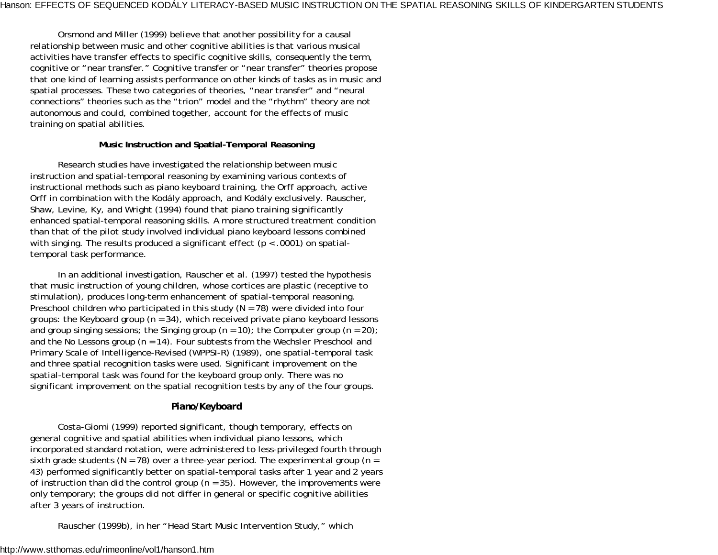Orsmond and Miller (1999) believe that another possibility for a causal relationship between music and other cognitive abilities is that various musical activities have transfer effects to specific cognitive skills, consequently the term, cognitive or "near transfer." Cognitive transfer or "near transfer" theories propose that one kind of learning assists performance on other kinds of tasks as in music and spatial processes. These two categories of theories, "near transfer" and "neural connections" theories such as the "trion" model and the "rhythm" theory are not autonomous and could, combined together, account for the effects of music training on spatial abilities.

#### **Music Instruction and Spatial-Temporal Reasoning**

Research studies have investigated the relationship between music instruction and spatial-temporal reasoning by examining various contexts of instructional methods such as piano keyboard training, the Orff approach, active Orff in combination with the Kodály approach, and Kodály exclusively. Rauscher, Shaw, Levine, Ky, and Wright (1994) found that piano training significantly enhanced spatial-temporal reasoning skills. A more structured treatment condition than that of the pilot study involved individual piano keyboard lessons combined with singing. The results produced a significant effect ( $p < .0001$ ) on spatialtemporal task performance.

In an additional investigation, Rauscher et al. (1997) tested the hypothesis that music instruction of young children, whose cortices are plastic (receptive to stimulation), produces long-term enhancement of spatial-temporal reasoning. Preschool children who participated in this study (*N* = 78) were divided into four groups: the Keyboard group (*<sup>n</sup>* = 34), which received private piano keyboard lessons and group singing sessions; the Singing group  $(n = 10)$ ; the Computer group  $(n = 20)$ ; and the No Lessons group (*<sup>n</sup>* = 14). Four subtests from the *Wechsler Preschool and Primary Scale of Intelligence-Revised (WPPSI-R)* (1989), one spatial-temporal task and three spatial recognition tasks were used. Significant improvement on the spatial-temporal task was found for the keyboard group only. There was no significant improvement on the spatial recognition tests by any of the four groups.

### *Piano/Keyboard*

Costa-Giomi (1999) reported significant, though temporary, effects on general cognitive and spatial abilities when individual piano lessons, which incorporated standard notation, were administered to less-privileged fourth through sixth grade students (*N* = 78) over a three-year period. The experimental group (*<sup>n</sup>* <sup>=</sup> 43) performed significantly better on spatial-temporal tasks after 1 year and 2 years of instruction than did the control group ( $n = 35$ ). However, the improvements were only temporary; the groups did not differ in general or specific cognitive abilities after 3 years of instruction.

Rauscher (1999b), in her "Head Start Music Intervention Study," which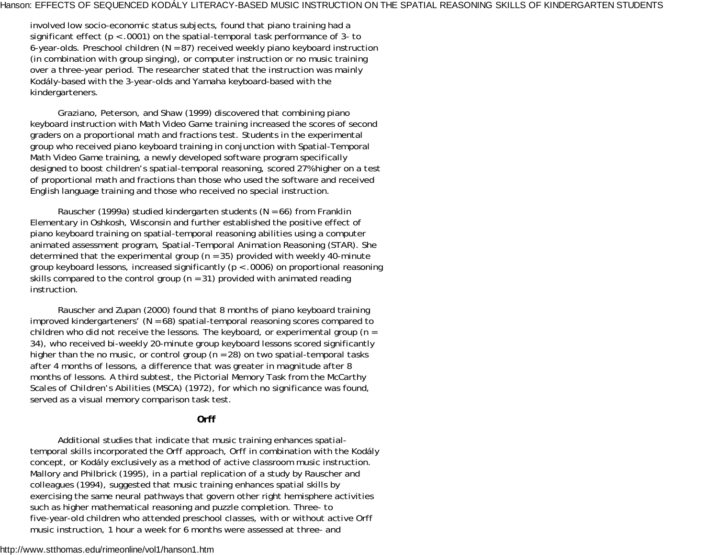involved low socio-economic status subjects, found that piano training had a significant effect (*p* < .0001) on the spatial-temporal task performance of 3- to 6-year-olds. Preschool children (*N* = 87) received weekly piano keyboard instruction (in combination with group singing), or computer instruction or no music training over a three-year period. The researcher stated that the instruction was mainly Kodály-based with the 3-year-olds and Yamaha keyboard-based with the kindergarteners.

Graziano, Peterson, and Shaw (1999) discovered that combining piano keyboard instruction with Math Video Game training increased the scores of second graders on a proportional math and fractions test. Students in the experimental group who received piano keyboard training in conjunction with Spatial-Temporal Math Video Game training, a newly developed software program specifically designed to boost children's spatial-temporal reasoning, scored 27% higher on a test of proportional math and fractions than those who used the software and received English language training and those who received no special instruction.

Rauscher (1999a) studied kindergarten students (*N* = 66) from Franklin Elementary in Oshkosh, Wisconsin and further established the positive effect of piano keyboard training on spatial-temporal reasoning abilities using a computer animated assessment program, *Spatial-Temporal Animation Reasoning (STAR*). She determined that the experimental group  $(n = 35)$  provided with weekly 40-minute group keyboard lessons, increased significantly (*p* < .0006) on proportional reasoning skills compared to the control group ( $n = 31$ ) provided with animated reading instruction.

Rauscher and Zupan (2000) found that 8 months of piano keyboard training improved kindergarteners' (*N* = 68) spatial-temporal reasoning scores compared to children who did not receive the lessons. The keyboard, or experimental group (*<sup>n</sup>* <sup>=</sup> 34), who received bi-weekly 20-minute group keyboard lessons scored significantly higher than the no music, or control group ( $n = 28$ ) on two spatial-temporal tasks after 4 months of lessons, a difference that was greater in magnitude after 8 months of lessons. A third subtest, the Pictorial Memory Task from the *McCarthy Scales of Children's Abilities (MSCA)* (1972), for which no significance was found, served as a visual memory comparison task test.

### *Orff*

Additional studies that indicate that music training enhances spatialtemporal skills incorporated the Orff approach, Orff in combination with the Kodály concept, or Kodály exclusively as a method of active classroom music instruction. Mallory and Philbrick (1995), in a partial replication of a study by Rauscher and colleagues (1994), suggested that music training enhances spatial skills by exercising the same neural pathways that govern other right hemisphere activities such as higher mathematical reasoning and puzzle completion. Three- to five-year-old children who attended preschool classes, with or without active Orff music instruction, 1 hour a week for 6 months were assessed at three- and

#### http://www.stthomas.edu/rimeonline/vol1/hanson1.htm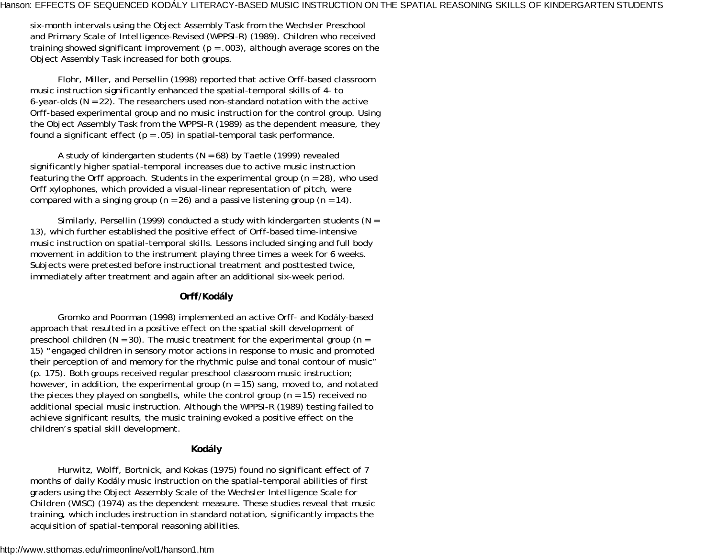six-month intervals using the Object Assembly Task from the *Wechsler Preschool and Primary Scale of Intelligence-Revised (WPPSI-R)* (1989). Children who received training showed significant improvement  $(p = .003)$ , although average scores on the Object Assembly Task increased for both groups.

Flohr, Miller, and Persellin (1998) reported that active Orff-based classroom music instruction significantly enhanced the spatial-temporal skills of 4- to 6-year-olds (*N* = 22). The researchers used non-standard notation with the active Orff-based experimental group and no music instruction for the control group. Using the Object Assembly Task from the *WPPSI-R* (1989) as the dependent measure, they found a significant effect ( $p = .05$ ) in spatial-temporal task performance.

A study of kindergarten students (*N* = 68) by Taetle (1999) revealed significantly higher spatial-temporal increases due to active music instruction featuring the Orff approach. Students in the experimental group  $(n = 28)$ , who used Orff xylophones, which provided a visual-linear representation of pitch, were compared with a singing group ( $n = 26$ ) and a passive listening group ( $n = 14$ ).

Similarly, Persellin (1999) conducted a study with kindergarten students (*N* <sup>=</sup> 13), which further established the positive effect of Orff-based time-intensive music instruction on spatial-temporal skills. Lessons included singing and full body movement in addition to the instrument playing three times a week for 6 weeks. Subjects were pretested before instructional treatment and posttested twice, immediately after treatment and again after an additional six-week period.

### *Orff/Kodály*

Gromko and Poorman (1998) implemented an active Orff- and Kodály-based approach that resulted in a positive effect on the spatial skill development of preschool children (*N* = 30). The music treatment for the experimental group (*<sup>n</sup>* <sup>=</sup> 15) "engaged children in sensory motor actions in response to music and promoted their perception of and memory for the rhythmic pulse and tonal contour of music" (p. 175). Both groups received regular preschool classroom music instruction; however, in addition, the experimental group  $(n = 15)$  sang, moved to, and notated the pieces they played on songbells, while the control group (*<sup>n</sup>* = 15) received no additional special music instruction. Although the *WPPSI-R* (1989) testing failed to achieve significant results, the music training evoked a positive effect on the children's spatial skill development.

### *Kodály*

Hurwitz, Wolff, Bortnick, and Kokas (1975) found no significant effect of 7 months of daily Kodály music instruction on the spatial-temporal abilities of first graders using the Object Assembly Scale of the *Wechsler Intelligence Scale for Children (WISC)* (1974) as the dependent measure. These studies reveal that music training, which includes instruction in standard notation, significantly impacts the acquisition of spatial-temporal reasoning abilities.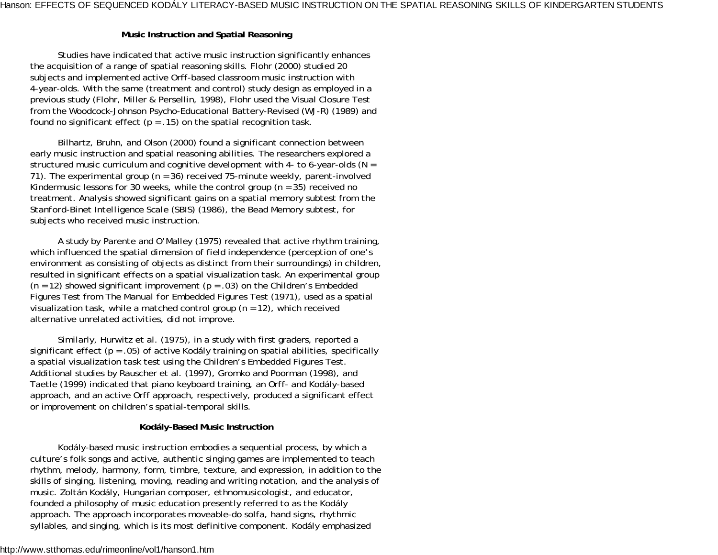### **Music Instruction and Spatial Reasoning**

Studies have indicated that active music instruction significantly enhances the acquisition of a range of spatial reasoning skills. Flohr (2000) studied 20 subjects and implemented active Orff-based classroom music instruction with 4-year-olds. With the same (treatment and control) study design as employed in a previous study (Flohr, Miller & Persellin, 1998), Flohr used the Visual Closure Test from the *Woodcock-Johnson Psycho-Educational Battery-Revised (WJ-R)* (1989) and found no significant effect ( $p = .15$ ) on the spatial recognition task.

Bilhartz, Bruhn, and Olson (2000) found a significant connection between early music instruction and spatial reasoning abilities. The researchers explored a structured music curriculum and cognitive development with 4- to 6-year-olds (*N* <sup>=</sup> 71). The experimental group (*<sup>n</sup>* = 36) received 75-minute weekly, parent-involved Kindermusic lessons for 30 weeks, while the control group (*<sup>n</sup>* = 35) received no treatment. Analysis showed significant gains on a spatial memory subtest from the *Stanford-Binet Intelligence Scale (SBIS)* (1986), the Bead Memory subtest, for subjects who received music instruction.

A study by Parente and O'Malley (1975) revealed that active rhythm training, which influenced the spatial dimension of field independence (perception of one's environment as consisting of objects as distinct from their surroundings) in children, resulted in significant effects on a spatial visualization task. An experimental group (*<sup>n</sup>* = 12) showed significant improvement (*p* = .03) on the Children's Embedded Figures Test from *The Manual for Embedded Figures Test* (1971), used as a spatial visualization task, while a matched control group (*<sup>n</sup>* = 12), which received alternative unrelated activities, did not improve.

Similarly, Hurwitz et al. (1975), in a study with first graders, reported a significant effect  $(p = .05)$  of active Kodály training on spatial abilities, specifically a spatial visualization task test using the Children's Embedded Figures Test. Additional studies by Rauscher et al. (1997), Gromko and Poorman (1998), and Taetle (1999) indicated that piano keyboard training, an Orff- and Kodály-based approach, and an active Orff approach, respectively, produced a significant effect or improvement on children's spatial-temporal skills.

### **Kodály-Based Music Instruction**

Kodály-based music instruction embodies a sequential process, by which a culture's folk songs and active, authentic singing games are implemented to teach rhythm, melody, harmony, form, timbre, texture, and expression, in addition to the skills of singing, listening, moving, reading and writing notation, and the analysis of music. Zoltán Kodály, Hungarian composer, ethnomusicologist, and educator, founded a philosophy of music education presently referred to as the Kodály approach. The approach incorporates moveable-do solfa, hand signs, rhythmic syllables, and singing, which is its most definitive component. Kodály emphasized

#### http://www.stthomas.edu/rimeonline/vol1/hanson1.htm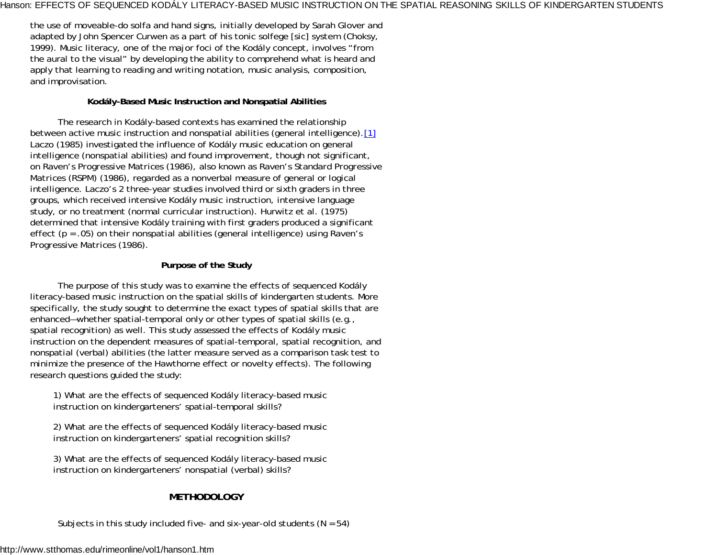the use of moveable-do solfa and hand signs, initially developed by Sarah Glover and adapted by John Spencer Curwen as a part of his tonic solfege [sic] system (Choksy, 1999). Music literacy, one of the major foci of the Kodály concept, involves "from the aural to the visual" by developing the ability to comprehend what is heard and apply that learning to reading and writing notation, music analysis, composition, and improvisation.

### **Kodály-Based Music Instruction and Nonspatial Abilities**

The research in Kodály-based contexts has examined the relationship between active music instruction and nonspatial abilities (general intelligence).[1] Laczo (1985) investigated the influence of Kodály music education on general intelligence (nonspatial abilities) and found improvement, though not significant, on *Raven's Progressive Matrices* (1986), also known as *Raven's Standard Progressive Matrices (RSPM)* (1986), regarded as a nonverbal measure of general or logical intelligence. Laczo's 2 three-year studies involved third or sixth graders in three groups, which received intensive Kodály music instruction, intensive language study, or no treatment (normal curricular instruction). Hurwitz et al. (1975) determined that intensive Kodály training with first graders produced a significant effect (*p* = .05) on their nonspatial abilities (general intelligence) using *Raven's Progressive Matrices* (1986).

### **Purpose of the Study**

The purpose of this study was to examine the effects of sequenced Kodály literacy-based music instruction on the spatial skills of kindergarten students. More specifically, the study sought to determine the exact types of spatial skills that are enhanced—whether spatial-temporal only or other types of spatial skills (e.g., spatial recognition) as well. This study assessed the effects of Kodály music instruction on the dependent measures of spatial-temporal, spatial recognition, and nonspatial (verbal) abilities (the latter measure served as a comparison task test to minimize the presence of the Hawthorne effect or novelty effects). The following research questions guided the study:

1) What are the effects of sequenced Kodály literacy-based music instruction on kindergarteners' spatial-temporal skills?

2) What are the effects of sequenced Kodály literacy-based music instruction on kindergarteners' spatial recognition skills?

3) What are the effects of sequenced Kodály literacy-based music instruction on kindergarteners' nonspatial (verbal) skills?

# **METHODOLOGY**

Subjects in this study included five- and six-year-old students (*N* = 54)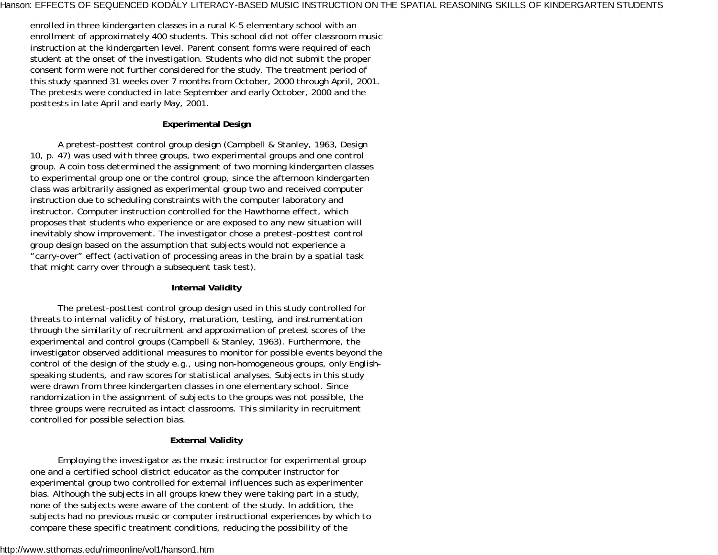enrolled in three kindergarten classes in a rural K-5 elementary school with an enrollment of approximately 400 students. This school did not offer classroom music instruction at the kindergarten level. Parent consent forms were required of each student at the onset of the investigation. Students who did not submit the proper consent form were not further considered for the study. The treatment period of this study spanned 31 weeks over 7 months from October, 2000 through April, 2001. The pretests were conducted in late September and early October, 2000 and the posttests in late April and early May, 2001.

### **Experimental Design**

A pretest-posttest control group design (Campbell & Stanley, 1963, Design 10, p. 47) was used with three groups, two experimental groups and one control group. A coin toss determined the assignment of two morning kindergarten classes to experimental group one or the control group, since the afternoon kindergarten class was arbitrarily assigned as experimental group two and received computer instruction due to scheduling constraints with the computer laboratory and instructor. Computer instruction controlled for the Hawthorne effect, which proposes that students who experience or are exposed to any new situation will inevitably show improvement. The investigator chose a pretest-posttest control group design based on the assumption that subjects would not experience a "carry-over" effect (activation of processing areas in the brain by a spatial task that might carry over through a subsequent task test).

### **Internal Validity**

The pretest-posttest control group design used in this study controlled for threats to internal validity of history, maturation, testing, and instrumentation through the similarity of recruitment and approximation of pretest scores of the experimental and control groups (Campbell & Stanley, 1963). Furthermore, the investigator observed additional measures to monitor for possible events beyond the control of the design of the study e.g., using non-homogeneous groups, only Englishspeaking students, and raw scores for statistical analyses. Subjects in this study were drawn from three kindergarten classes in one elementary school. Since randomization in the assignment of subjects to the groups was not possible, the three groups were recruited as intact classrooms. This similarity in recruitment controlled for possible selection bias.

### **External Validity**

Employing the investigator as the music instructor for experimental group one and a certified school district educator as the computer instructor for experimental group two controlled for external influences such as experimenter bias. Although the subjects in all groups knew they were taking part in a study, none of the subjects were aware of the content of the study. In addition, the subjects had no previous music or computer instructional experiences by which to compare these specific treatment conditions, reducing the possibility of the

#### http://www.stthomas.edu/rimeonline/vol1/hanson1.htm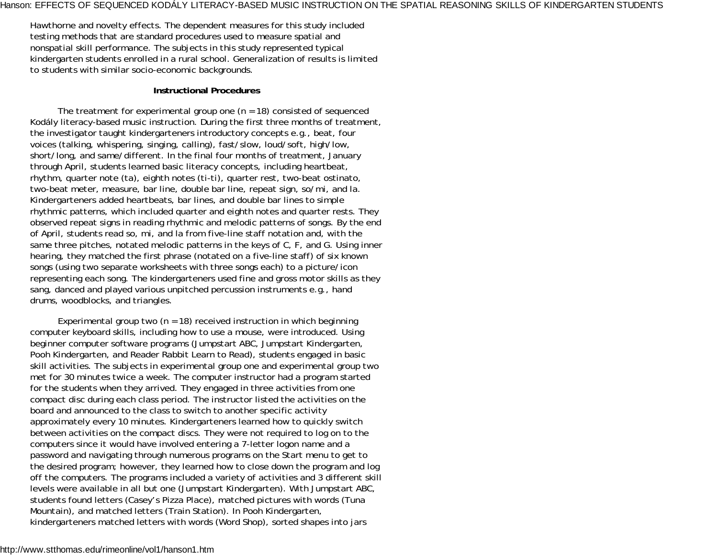Hawthorne and novelty effects. The dependent measures for this study included testing methods that are standard procedures used to measure spatial and nonspatial skill performance. The subjects in this study represented typical kindergarten students enrolled in a rural school. Generalization of results is limited to students with similar socio-economic backgrounds.

#### **Instructional Procedures**

The treatment for experimental group one (*n* = 18) consisted of sequenced Kodály literacy-based music instruction. During the first three months of treatment, the investigator taught kindergarteners introductory concepts e.g., beat, four voices (talking, whispering, singing, calling), fast/slow, loud/soft, high/low, short/long, and same/different. In the final four months of treatment, January through April, students learned basic literacy concepts, including heartbeat, rhythm, quarter note (ta), eighth notes (ti-ti), quarter rest, two-beat ostinato, two-beat meter, measure, bar line, double bar line, repeat sign, so/mi, and la. Kindergarteners added heartbeats, bar lines, and double bar lines to simple rhythmic patterns, which included quarter and eighth notes and quarter rests. They observed repeat signs in reading rhythmic and melodic patterns of songs. By the end of April, students read so, mi, and la from five-line staff notation and, with the same three pitches, notated melodic patterns in the keys of C, F, and G. Using inner hearing, they matched the first phrase (notated on a five-line staff) of six known songs (using two separate worksheets with three songs each) to a picture/icon representing each song. The kindergarteners used fine and gross motor skills as they sang, danced and played various unpitched percussion instruments e.g., hand drums, woodblocks, and triangles.

Experimental group two  $(n = 18)$  received instruction in which beginning computer keyboard skills, including how to use a mouse, were introduced. Using beginner computer software programs (Jumpstart ABC, Jumpstart Kindergarten, Pooh Kindergarten, and Reader Rabbit Learn to Read), students engaged in basic skill activities. The subjects in experimental group one and experimental group two met for 30 minutes twice a week. The computer instructor had a program started for the students when they arrived. They engaged in three activities from one compact disc during each class period. The instructor listed the activities on the board and announced to the class to switch to another specific activity approximately every 10 minutes. Kindergarteners learned how to quickly switch between activities on the compact discs. They were not required to log on to the computers since it would have involved entering a 7-letter logon name and a password and navigating through numerous programs on the Start menu to get to the desired program; however, they learned how to close down the program and log off the computers. The programs included a variety of activities and 3 different skill levels were available in all but one (Jumpstart Kindergarten). With Jumpstart ABC, students found letters (Casey's Pizza Place), matched pictures with words (Tuna Mountain), and matched letters (Train Station). In Pooh Kindergarten, kindergarteners matched letters with words (Word Shop), sorted shapes into jars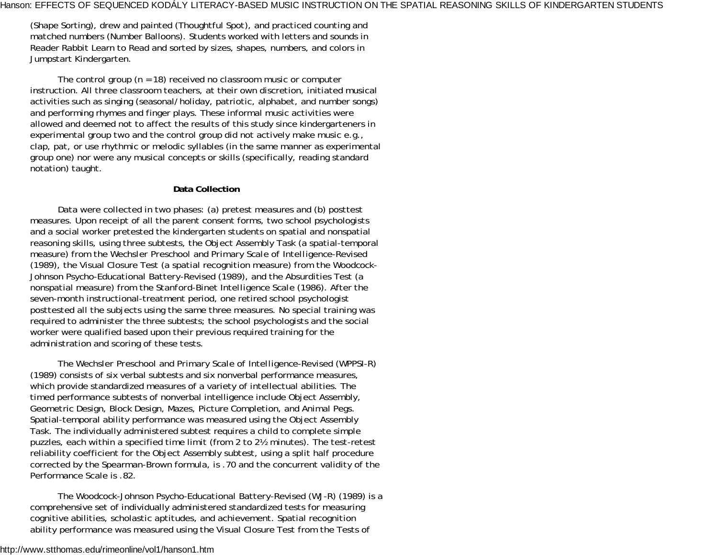(Shape Sorting), drew and painted (Thoughtful Spot), and practiced counting and matched numbers (Number Balloons). Students worked with letters and sounds in Reader Rabbit Learn to Read and sorted by sizes, shapes, numbers, and colors in Jumpstart Kindergarten.

The control group (*<sup>n</sup>* = 18) received no classroom music or computer instruction. All three classroom teachers, at their own discretion, initiated musical activities such as singing (seasonal/holiday, patriotic, alphabet, and number songs) and performing rhymes and finger plays. These informal music activities were allowed and deemed not to affect the results of this study since kindergarteners in experimental group two and the control group did not actively make music e.g., clap, pat, or use rhythmic or melodic syllables (in the same manner as experimental group one) nor were any musical concepts or skills (specifically, reading standard notation) taught.

### **Data Collection**

Data were collected in two phases: (a) pretest measures and (b) posttest measures. Upon receipt of all the parent consent forms, two school psychologists and a social worker pretested the kindergarten students on spatial and nonspatial reasoning skills, using three subtests, the Object Assembly Task (a spatial-temporal measure) from the *Wechsler Preschool and Primary Scale of Intelligence-Revised* (1989), the Visual Closure Test (a spatial recognition measure) from the *Woodcock-Johnson Psycho-Educational Battery-Revised* (1989), and the Absurdities Test (a nonspatial measure) from the *Stanford-Binet Intelligence Scale* (1986). After the seven-month instructional-treatment period, one retired school psychologist posttested all the subjects using the same three measures. No special training was required to administer the three subtests; the school psychologists and the social worker were qualified based upon their previous required training for the administration and scoring of these tests.

The *Wechsler Preschool and Primary Scale of Intelligence-Revised (WPPSI-R)* (1989) consists of six verbal subtests and six nonverbal performance measures, which provide standardized measures of a variety of intellectual abilities. The timed performance subtests of nonverbal intelligence include Object Assembly, Geometric Design, Block Design, Mazes, Picture Completion, and Animal Pegs. Spatial-temporal ability performance was measured using the Object Assembly Task. The individually administered subtest requires a child to complete simple puzzles, each within a specified time limit (from 2 to 2½ minutes). The test-retest reliability coefficient for the Object Assembly subtest, using a split half procedure corrected by the Spearman-Brown formula, is .70 and the concurrent validity of the Performance Scale is .82.

The *Woodcock-Johnson Psycho-Educational Battery-Revised (WJ-R)* (1989) is a comprehensive set of individually administered standardized tests for measuring cognitive abilities, scholastic aptitudes, and achievement. Spatial recognition ability performance was measured using the Visual Closure Test from the *Tests of*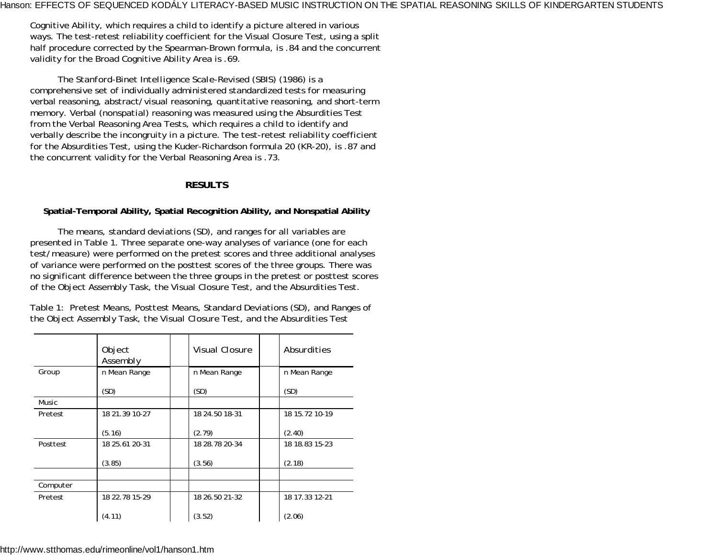*Cognitive Ability*, which requires a child to identify a picture altered in various ways. The test-retest reliability coefficient for the Visual Closure Test, using a split half procedure corrected by the Spearman-Brown formula, is .84 and the concurrent validity for the Broad Cognitive Ability Area is .69.

The *Stanford-Binet Intelligence Scale-Revised (SBIS)* (1986) is a comprehensive set of individually administered standardized tests for measuring verbal reasoning, abstract/visual reasoning, quantitative reasoning, and short-term memory. Verbal (nonspatial) reasoning was measured using the Absurdities Test from the Verbal Reasoning Area Tests, which requires a child to identify and verbally describe the incongruity in a picture. The test-retest reliability coefficient for the Absurdities Test, using the Kuder-Richardson formula 20 (KR-20), is .87 and the concurrent validity for the Verbal Reasoning Area is .73.

### **RESULTS**

### **Spatial-Temporal Ability, Spatial Recognition Ability, and Nonspatial Ability**

The means, standard deviations (*SD*), and ranges for all variables are presented in Table 1. Three separate one-way analyses of variance (one for each test/measure) were performed on the pretest scores and three additional analyses of variance were performed on the posttest scores of the three groups. There was no significant difference between the three groups in the pretest or posttest scores of the Object Assembly Task, the Visual Closure Test, and the Absurdities Test.

Table 1: *Pretest Means, Posttest Means, Standard Deviations (SD), and Ranges of the Object Assembly Task, the Visual Closure Test, and the Absurdities Test*

|          | Object<br>Assembly | <i>Visual Closure</i> | Absurdities    |
|----------|--------------------|-----------------------|----------------|
| Group    | n Mean Range       | n Mean Range          | n Mean Range   |
|          | (SD)               | (SD)                  | (SD)           |
| Music    |                    |                       |                |
| Pretest  | 18 21.39 10-27     | 18 24.50 18-31        | 18 15.72 10-19 |
|          | (5.16)             | (2.79)                | (2.40)         |
| Posttest | 18 25.61 20-31     | 18 28.78 20-34        | 18 18.83 15-23 |
|          | (3.85)             | (3.56)                | (2.18)         |
|          |                    |                       |                |
| Computer |                    |                       |                |
| Pretest  | 18 22.78 15-29     | 18 26.50 21-32        | 18 17.33 12-21 |
|          | (4.11)             | (3.52)                | (2.06)         |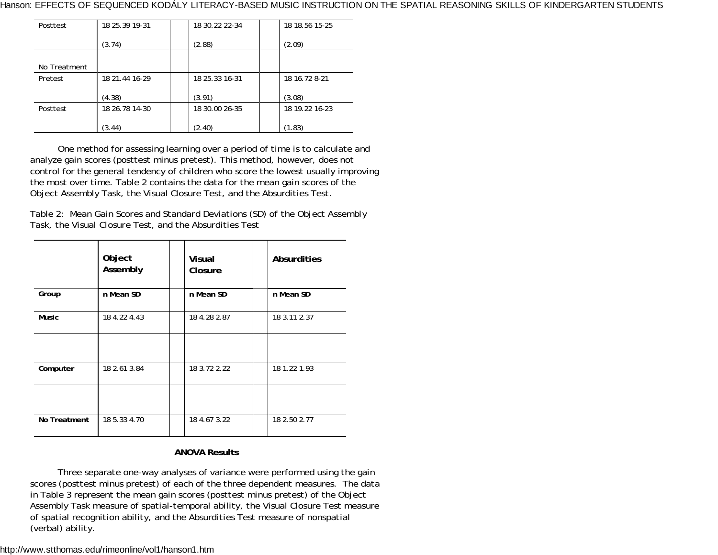| Posttest     | 18 25 39 19 - 31 | 18 30.22 22-34   | 18 18.56 15-25 |  |
|--------------|------------------|------------------|----------------|--|
|              | (3.74)           | (2.88)           | (2.09)         |  |
|              |                  |                  |                |  |
| No Treatment |                  |                  |                |  |
| Pretest      | 18 21.44 16-29   | 18 25 33 16 - 31 | 18 16.72 8-21  |  |
|              | (4.38)           | (3.91)           | (3.08)         |  |
| Posttest     | 18 26.78 14-30   | 18 30.00 26-35   | 18 19.22 16-23 |  |
|              | (3.44)           | (2.40)           | (1.83)         |  |

One method for assessing learning over a period of time is to calculate and analyze gain scores (posttest minus pretest). This method, however, does not control for the general tendency of children who score the lowest usually improving the most over time. Table 2 contains the data for the mean gain scores of the Object Assembly Task, the Visual Closure Test, and the Absurdities Test.

Table 2: *Mean Gain Scores and Standard Deviations (SD) of the Object Assembly Task, the Visual Closure Test, and the Absurdities Test*

|              | Object<br>Assembly | <b>Visual</b><br>Closure | <b>Absurdities</b> |
|--------------|--------------------|--------------------------|--------------------|
| Group        | n Mean SD          | n Mean SD                | n Mean SD          |
| <b>Music</b> | 18 4.22 4.43       | 18 4.28 2.87             | 18 3.11 2.37       |
| Computer     | 18 2.61 3.84       | 18 3.72 2.22             | 18 1.22 1.93       |
| No Treatment | 18 5.33 4.70       | 18 4.67 3.22             | 18 2.50 2.77       |

### **ANOVA Results**

Three separate one-way analyses of variance were performed using the gain scores (posttest minus pretest) of each of the three dependent measures. The data in Table 3 represent the mean gain scores (posttest minus pretest) of the Object Assembly Task measure of spatial-temporal ability, the Visual Closure Test measure of spatial recognition ability, and the Absurdities Test measure of nonspatial (verbal) ability.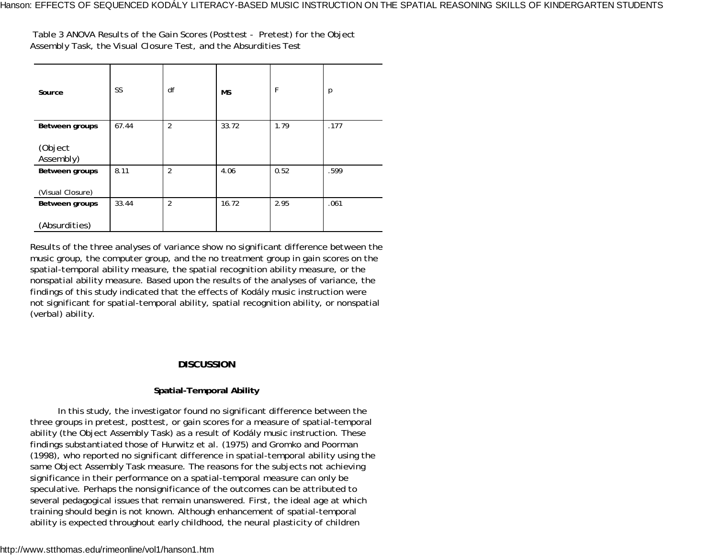Table 3 *ANOVA Results of the Gain Scores (Posttest - Pretest) for the Object Assembly Task, the Visual Closure Test, and the Absurdities Test*

| Source               | SS    | df             | <b>MS</b> | F    | $\overline{\rho}$ |
|----------------------|-------|----------------|-----------|------|-------------------|
| Between groups       | 67.44 | $\overline{2}$ | 33.72     | 1.79 | .177              |
| (Object<br>Assembly) |       |                |           |      |                   |
| Between groups       | 8.11  | $\overline{2}$ | 4.06      | 0.52 | .599              |
| (Visual Closure)     |       |                |           |      |                   |
| Between groups       | 33.44 | $\overline{2}$ | 16.72     | 2.95 | .061              |
| (Absurdities)        |       |                |           |      |                   |

Results of the three analyses of variance show no significant difference between the music group, the computer group, and the no treatment group in gain scores on the spatial-temporal ability measure, the spatial recognition ability measure, or the nonspatial ability measure. Based upon the results of the analyses of variance, the findings of this study indicated that the effects of Kodály music instruction were not significant for spatial-temporal ability, spatial recognition ability, or nonspatial (verbal) ability.

### **DISCUSSION**

### **Spatial-Temporal Ability**

In this study, the investigator found no significant difference between the three groups in pretest, posttest, or gain scores for a measure of spatial-temporal ability (the Object Assembly Task) as a result of Kodály music instruction. These findings substantiated those of Hurwitz et al. (1975) and Gromko and Poorman (1998), who reported no significant difference in spatial-temporal ability using the same Object Assembly Task measure. The reasons for the subjects not achieving significance in their performance on a spatial-temporal measure can only be speculative. Perhaps the nonsignificance of the outcomes can be attributed to several pedagogical issues that remain unanswered. First, the ideal age at which training should begin is not known. Although enhancement of spatial-temporal ability is expected throughout early childhood, the neural plasticity of children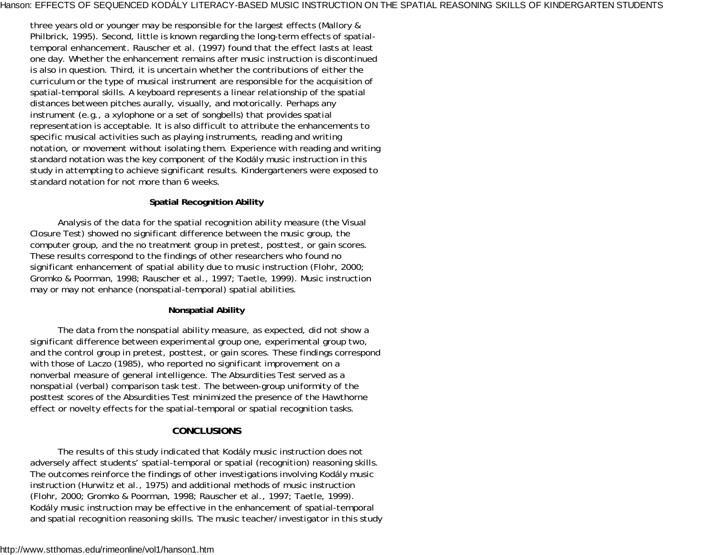three years old or younger may be responsible for the largest effects (Mallory & Philbrick, 1995). Second, little is known regarding the long-term effects of spatialtemporal enhancement. Rauscher et al. (1997) found that the effect lasts at least one day. Whether the enhancement remains after music instruction is discontinued is also in question. Third, it is uncertain whether the contributions of either the curriculum or the type of musical instrument are responsible for the acquisition of spatial-temporal skills. A keyboard represents a linear relationship of the spatial distances between pitches aurally, visually, and motorically. Perhaps any instrument (e.g., a xylophone or a set of songbells) that provides spatial representation is acceptable. It is also difficult to attribute the enhancements to specific musical activities such as playing instruments, reading and writing notation, or movement without isolating them. Experience with reading and writing standard notation was the key component of the Kodály music instruction in this study in attempting to achieve significant results. Kindergarteners were exposed to standard notation for not more than 6 weeks.

### **Spatial Recognition Ability**

Analysis of the data for the spatial recognition ability measure (the Visual Closure Test) showed no significant difference between the music group, the computer group, and the no treatment group in pretest, posttest, or gain scores. These results correspond to the findings of other researchers who found no significant enhancement of spatial ability due to music instruction (Flohr, 2000; Gromko & Poorman, 1998; Rauscher et al., 1997; Taetle, 1999). Music instruction may or may not enhance (nonspatial-temporal) spatial abilities.

### **Nonspatial Ability**

The data from the nonspatial ability measure, as expected, did not show a significant difference between experimental group one, experimental group two, and the control group in pretest, posttest, or gain scores. These findings correspond with those of Laczo (1985), who reported no significant improvement on a nonverbal measure of general intelligence. The Absurdities Test served as a nonspatial (verbal) comparison task test. The between-group uniformity of the posttest scores of the Absurdities Test minimized the presence of the Hawthorne effect or novelty effects for the spatial-temporal or spatial recognition tasks.

### **CONCLUSIONS**

The results of this study indicated that Kodály music instruction does not adversely affect students' spatial-temporal or spatial (recognition) reasoning skills. The outcomes reinforce the findings of other investigations involving Kodály music instruction (Hurwitz et al., 1975) and additional methods of music instruction (Flohr, 2000; Gromko & Poorman, 1998; Rauscher et al., 1997; Taetle, 1999). Kodály music instruction may be effective in the enhancement of spatial-temporal and spatial recognition reasoning skills. The music teacher/investigator in this study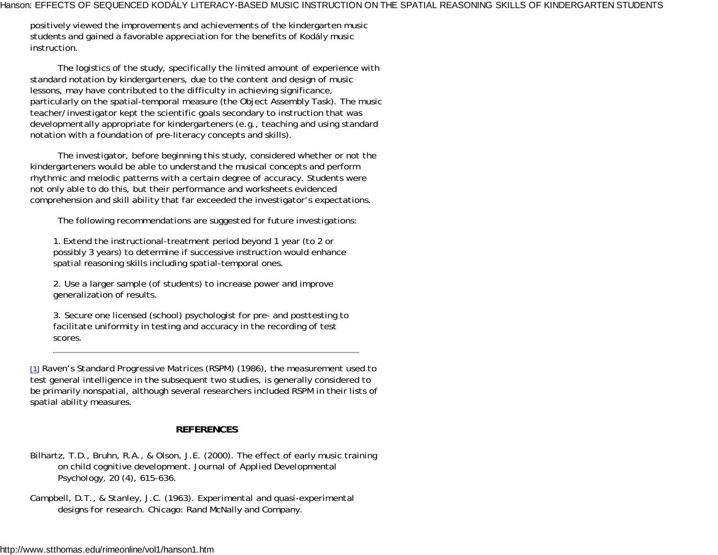positively viewed the improvements and achievements of the kindergarten music students and gained a favorable appreciation for the benefits of Kodály music instruction.

The logistics of the study, specifically the limited amount of experience with standard notation by kindergarteners, due to the content and design of music lessons, may have contributed to the difficulty in achieving significance, particularly on the spatial-temporal measure (the Object Assembly Task). The music teacher/investigator kept the scientific goals secondary to instruction that was developmentally appropriate for kindergarteners (e.g., teaching and using standard notation with a foundation of pre-literacy concepts and skills).

The investigator, before beginning this study, considered whether or not the kindergarteners would be able to understand the musical concepts and perform rhythmic and melodic patterns with a certain degree of accuracy. Students were not only able to do this, but their performance and worksheets evidenced comprehension and skill ability that far exceeded the investigator's expectations.

The following recommendations are suggested for future investigations:

1. Extend the instructional-treatment period beyond 1 year (to 2 or possibly 3 years) to determine if successive instruction would enhance spatial reasoning skills including spatial-temporal ones.

2. Use a larger sample (of students) to increase power and improve generalization of results.

3. Secure one licensed (school) psychologist for pre- and posttesting to facilitate uniformity in testing and accuracy in the recording of test scores.

[1] *Raven's Standard Progressive Matrices (RSPM)* (1986), the measurement used to test general intelligence in the subsequent two studies, is generally considered to be primarily nonspatial, although several researchers included *RSPM* in their lists of spatial ability measures.

# **REFERENCES**

- Bilhartz, T.D., Bruhn, R.A., & Olson, J.E. (2000). The effect of early music training on child cognitive development. *Journal of Applied Developmental Psychology, 20* (4), 615-636.
- Campbell, D.T., & Stanley, J.C. (1963). *Experimental and quasi-experimental designs for research.* Chicago: Rand McNally and Company.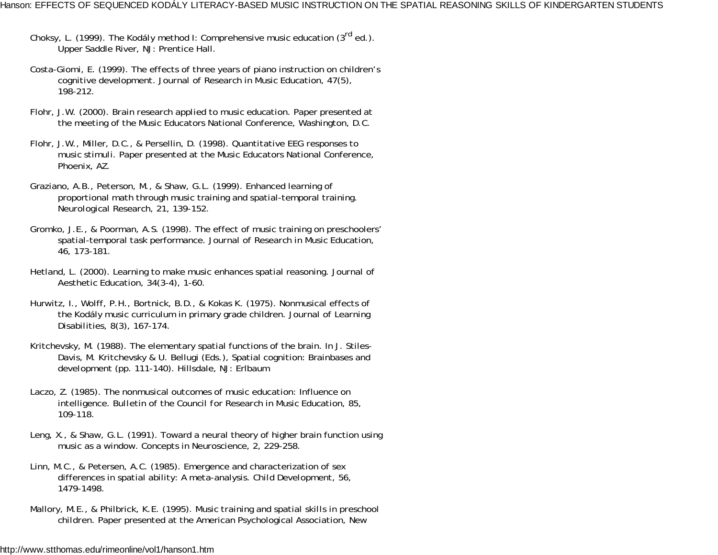- Choksy, L. (1999). *The Kodály method I: Comprehensive music education (3rd ed.).* Upper Saddle River, NJ: Prentice Hall.
- Costa-Giomi, E. (1999). The effects of three years of piano instruction on children's cognitive development. *Journal of Research in Music Education, 47*(5), 198-212.
- Flohr, J.W. (2000). *Brain research applied to music education.* Paper presented at the meeting of the Music Educators National Conference, Washington, D.C.
- Flohr, J.W., Miller, D.C., & Persellin, D. (1998). *Quantitative EEG responses to music stimuli.* Paper presented at the Music Educators National Conference, Phoenix, AZ.
- Graziano, A.B., Peterson, M., & Shaw, G.L. (1999). Enhanced learning of proportional math through music training and spatial-temporal training. *Neurological Research, 21,* 139-152.
- Gromko, J.E., & Poorman, A.S. (1998). The effect of music training on preschoolers' spatial-temporal task performance. *Journal of Research in Music Education, 46,* 173-181.
- Hetland, L. (2000). Learning to make music enhances spatial reasoning. *Journal of Aesthetic Education, 34*(3-4), 1-60.
- Hurwitz, I., Wolff, P.H., Bortnick, B.D., & Kokas K. (1975). Nonmusical effects of the Kodály music curriculum in primary grade children. *Journal of Learning Disabilities, 8*(3), 167-174.
- Kritchevsky, M. (1988). The elementary spatial functions of the brain. In J. Stiles-Davis, M. Kritchevsky & U. Bellugi (Eds.), Spatial cognition: Brain*bases and development* (pp. 111-140). Hillsdale, NJ: Erlbaum
- Laczo, Z. (1985). The nonmusical outcomes of music education: Influence on intelligence. *Bulletin of the Council for Research in Music Education, 85,* 109-118.
- Leng, X., & Shaw, G.L. (1991). Toward a neural theory of higher brain function using music as a window. *Concepts in Neuroscience, 2,* 229-258.
- Linn, M.C., & Petersen, A.C. (1985). Emergence and characterization of sex differences in spatial ability: A meta-analysis. *Child Development, 56,* 1479-1498.
- Mallory, M.E., & Philbrick, K.E. (1995). *Music training and spatial skills in preschool children.* Paper presented at the American Psychological Association, New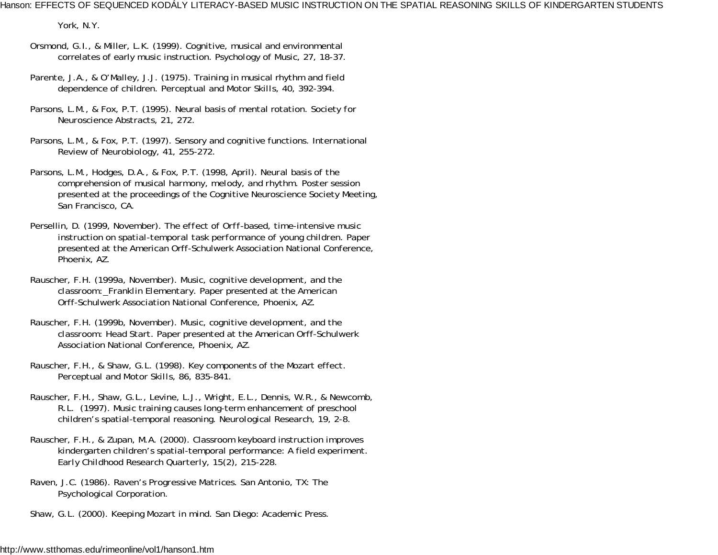York, N.Y.

- Orsmond, G.I., & Miller, L.K. (1999). Cognitive, musical and environmental correlates of early music instruction. *Psychology of Music, 27,* 18-37.
- Parente, J.A., & O'Malley, J.J. (1975). Training in musical rhythm and field dependence of children. *Perceptual and Motor Skills, 40,* 392-394.
- Parsons, L.M., & Fox, P.T. (1995). Neural basis of mental rotation. *Society for Neuroscience Abstracts, 21,* 272.
- Parsons, L.M., & Fox, P.T. (1997). Sensory and cognitive functions. *International Review of Neurobiology, 41,* 255-272.
- Parsons, L.M., Hodges, D.A., & Fox, P.T. (1998, April). *Neural basis of the comprehension of musical harmony, melody, and rhythm.* Poster session presented at the proceedings of the Cognitive Neuroscience Society Meeting, San Francisco, CA.
- Persellin, D. (1999, November). *The effect of Orff-based, time-intensive music instruction on spatial-temporal task performance of young children.* Paper presented at the American Orff-Schulwerk Association National Conference, Phoenix, AZ.
- Rauscher, F.H. (1999a, November). *Music, cognitive development, and the classroom: Franklin Elementary.* Paper presented at the American Orff-Schulwerk Association National Conference, Phoenix, AZ.
- Rauscher, F.H. (1999b, November). *Music, cognitive development, and the classroom: Head Start.* Paper presented at the American Orff-Schulwerk Association National Conference, Phoenix, AZ.
- Rauscher, F.H., & Shaw, G.L. (1998). Key components of the Mozart effect. *Perceptual and Motor Skills, 86,* 835-841.
- Rauscher, F.H., Shaw, G.L., Levine, L.J., Wright, E.L., Dennis, W.R., & Newcomb, R.L. (1997). Music training causes long-term enhancement of preschool children's spatial-temporal reasoning. *Neurological Research, 19,* 2-8.
- Rauscher, F.H., & Zupan, M.A. (2000). Classroom keyboard instruction improves kindergarten children's spatial-temporal performance: A field experiment. *Early Childhood Research Quarterly, 15*(2), 215-228.
- Raven, J.C. (1986). *Raven's Progressive Matrices.* San Antonio, TX: The Psychological Corporation.
- Shaw, G.L. (2000). *Keeping Mozart in mind.* San Diego: Academic Press.